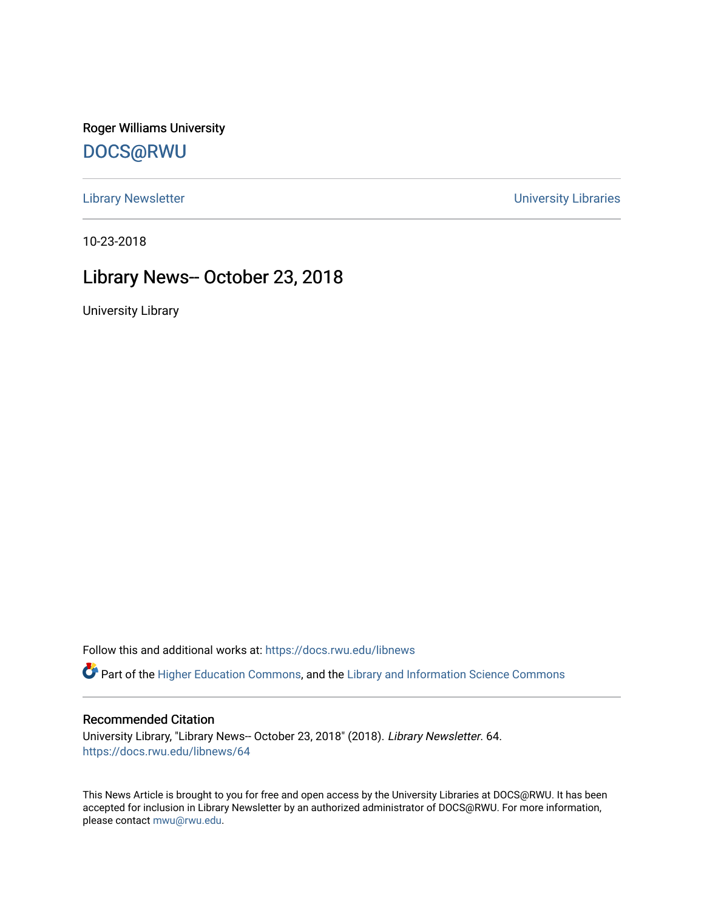Roger Williams University [DOCS@RWU](https://docs.rwu.edu/)

[Library Newsletter](https://docs.rwu.edu/libnews) **Newsletter Newsletter Newsletter Newsletter Newsletter University Libraries** 

10-23-2018

## Library News-- October 23, 2018

University Library

Follow this and additional works at: [https://docs.rwu.edu/libnews](https://docs.rwu.edu/libnews?utm_source=docs.rwu.edu%2Flibnews%2F64&utm_medium=PDF&utm_campaign=PDFCoverPages)

Part of the [Higher Education Commons,](http://network.bepress.com/hgg/discipline/1245?utm_source=docs.rwu.edu%2Flibnews%2F64&utm_medium=PDF&utm_campaign=PDFCoverPages) and the Library and Information Science Commons

#### Recommended Citation

University Library, "Library News-- October 23, 2018" (2018). Library Newsletter. 64. [https://docs.rwu.edu/libnews/64](https://docs.rwu.edu/libnews/64?utm_source=docs.rwu.edu%2Flibnews%2F64&utm_medium=PDF&utm_campaign=PDFCoverPages) 

This News Article is brought to you for free and open access by the University Libraries at DOCS@RWU. It has been accepted for inclusion in Library Newsletter by an authorized administrator of DOCS@RWU. For more information, please contact [mwu@rwu.edu.](mailto:mwu@rwu.edu)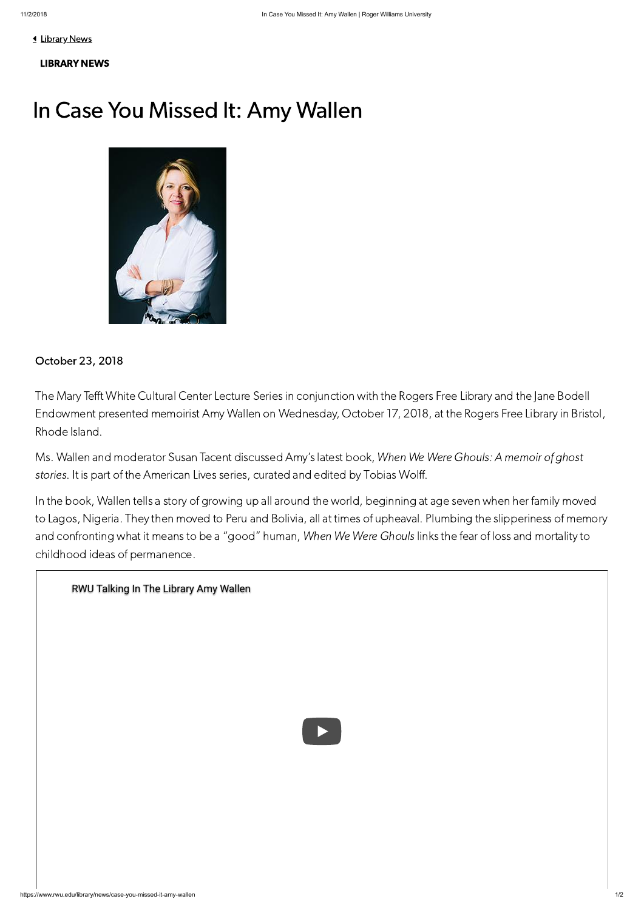**1** [Library](https://www.rwu.edu/library/news) News

### [LIBRARY](https://www.rwu.edu/library/news) NEWS

# In Case You Missed It: Amy Wallen



### October 23, 2018

The Mary Tefft White Cultural Center Lecture Series in conjunction with the Rogers Free Library and the Jane Bodell Endowment presented memoirist Amy Wallen on Wednesday, October 17, 2018, at the Rogers Free Library in Bristol, Rhode Island.

Ms. Wallen and moderator Susan Tacent discussed Amy's latest book, When We Were Ghouls: A memoir of ghost stories. It is part of the American Lives series, curated and edited by Tobias Wolff.

In the book, Wallen tells a story of growing up all around the world, beginning at age seven when her family moved to Lagos, Nigeria. They then moved to Peru and Bolivia, all at times of upheaval. Plumbing the slipperiness of memory and confronting what it means to be a "good" human, When We Were Ghouls links the fear of loss and mortality to childhood ideas of permanence.

### [RWU Talking In The Library Amy Wallen](https://www.youtube.com/watch?v=kX695nCuvZw)